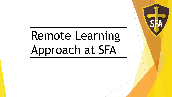# Remote Learning Approach at SFA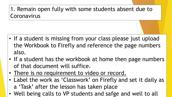# 1. Remain open fully with some students absent due to Coronavirus

- If a student is missing from your class please just upload the Workbook to Firefly and reference the page numbers also.
- If a student has the workbook at home then page numbers of that document will suffice.
- There is no requirement to video or record.
- Label the work as 'Classwork' on Firefly and set it daily as a 'Task' after the lesson has taken place
- Well being calls to VP students and safge and well to all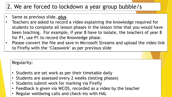## 2. We are forced to lockdown a year group bubble/s

- Same as previous slide, **plus**
- Teachers are asked to record a video explaining the knowledge required for students to complete all lesson phases in the lesson time that you would have been teaching. For example, if year 8 have to isolate, the teachers of year 8 for P1, use P1 to record the Knowledge phase.
- Please convert the file and save in Microsoft Streams and upload the video link to Firefly with the 'Classwork' as per previous slide

#### Regularity:

- Students are set work as per their timetable daily
- Students are assessed every 2 weeks (testing phases)
- Students submit work for marking via Firefly
- Feedback is given via WCOS, recorded as a video by the teacher
- Regular wellbeing calls and check-ins with HAL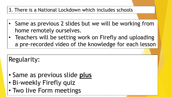### 3. There is a National Lockdown which includes schools

- Same as previous 2 slides but we will be working from home remotely ourselves.
- Teachers will be setting work on Firefly and uploading a pre-recorded video of the knowledge for each lesson

Regularity:

- Same as previous slide **plus**
- Bi-weekly Firefly quiz
- Two live Form meetings